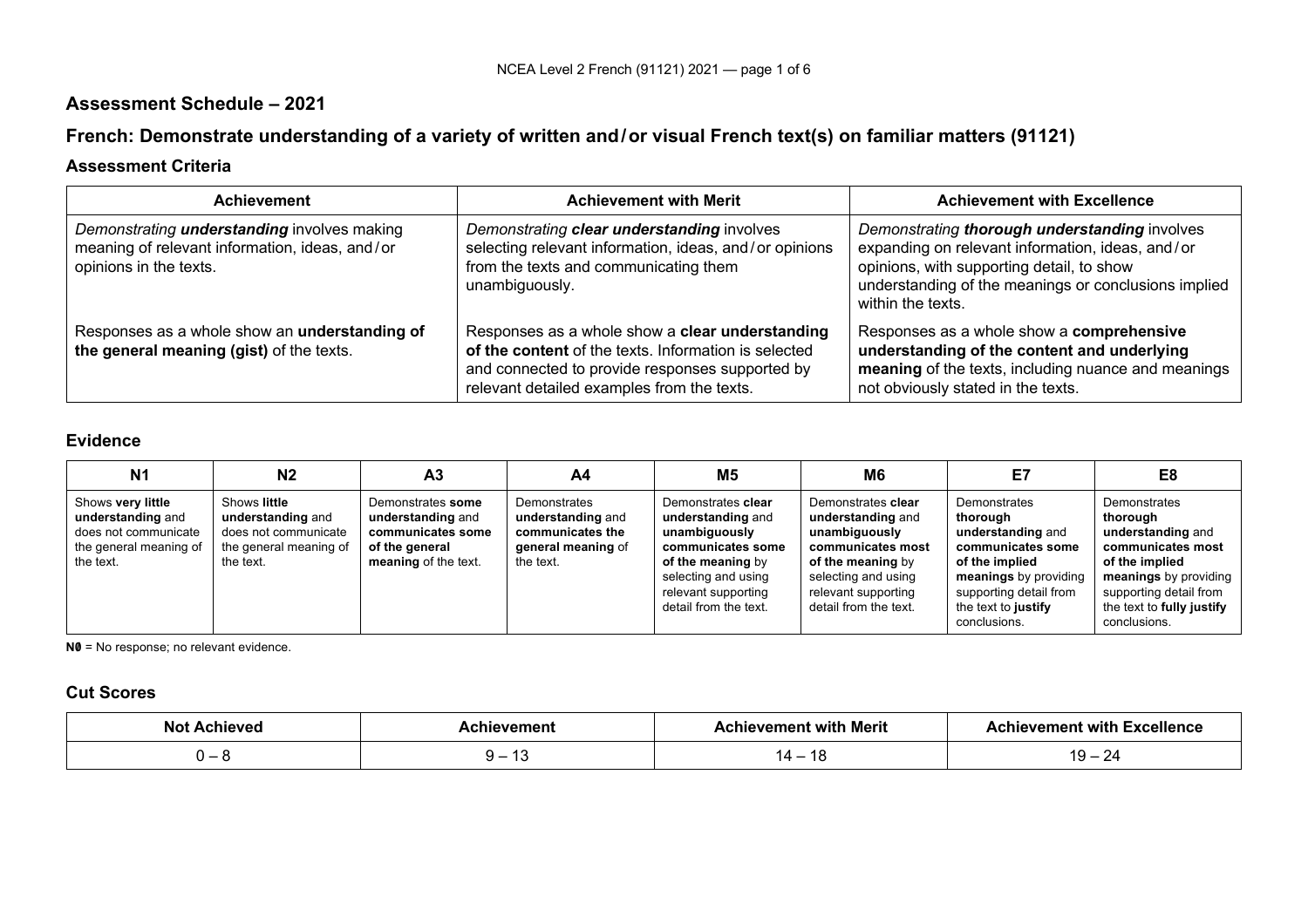# **Assessment Schedule – 2021**

# **French: Demonstrate understanding of a variety of written and/or visual French text(s) on familiar matters (91121)**

## **Assessment Criteria**

| <b>Achievement</b>                                                                                                             | <b>Achievement with Merit</b>                                                                                                                                                                            | <b>Achievement with Excellence</b>                                                                                                                                                                                          |
|--------------------------------------------------------------------------------------------------------------------------------|----------------------------------------------------------------------------------------------------------------------------------------------------------------------------------------------------------|-----------------------------------------------------------------------------------------------------------------------------------------------------------------------------------------------------------------------------|
| Demonstrating <b>understanding</b> involves making<br>meaning of relevant information, ideas, and/or<br>opinions in the texts. | Demonstrating clear understanding involves<br>selecting relevant information, ideas, and/or opinions<br>from the texts and communicating them<br>unambiguously.                                          | Demonstrating thorough understanding involves<br>expanding on relevant information, ideas, and/or<br>opinions, with supporting detail, to show<br>understanding of the meanings or conclusions implied<br>within the texts. |
| Responses as a whole show an understanding of<br>the general meaning (gist) of the texts.                                      | Responses as a whole show a clear understanding<br>of the content of the texts. Information is selected<br>and connected to provide responses supported by<br>relevant detailed examples from the texts. | Responses as a whole show a comprehensive<br>understanding of the content and underlying<br>meaning of the texts, including nuance and meanings<br>not obviously stated in the texts.                                       |

#### **Evidence**

| N <sub>1</sub>                                                                                        | N2                                                                                               | A <sub>3</sub>                                                                                        | A4                                                                                       | M5                                                                                                                                                                        | M6                                                                                                                                                                        | E7                                                                                                                                                                             | E8                                                                                                                                                                                   |
|-------------------------------------------------------------------------------------------------------|--------------------------------------------------------------------------------------------------|-------------------------------------------------------------------------------------------------------|------------------------------------------------------------------------------------------|---------------------------------------------------------------------------------------------------------------------------------------------------------------------------|---------------------------------------------------------------------------------------------------------------------------------------------------------------------------|--------------------------------------------------------------------------------------------------------------------------------------------------------------------------------|--------------------------------------------------------------------------------------------------------------------------------------------------------------------------------------|
| Shows very little<br>understanding and<br>does not communicate<br>the general meaning of<br>the text. | Shows little<br>understanding and<br>does not communicate<br>the general meaning of<br>the text. | Demonstrates some<br>understanding and<br>communicates some<br>of the general<br>meaning of the text. | Demonstrates<br>understanding and<br>communicates the<br>general meaning of<br>the text. | Demonstrates clear<br>understanding and<br>unambiguously<br>communicates some<br>of the meaning by<br>selecting and using<br>relevant supporting<br>detail from the text. | Demonstrates clear<br>understanding and<br>unambiguously<br>communicates most<br>of the meaning by<br>selecting and using<br>relevant supporting<br>detail from the text. | Demonstrates<br>thorough<br>understanding and<br>communicates some<br>of the implied<br>meanings by providing<br>supporting detail from<br>the text to justify<br>conclusions. | Demonstrates<br>thorough<br>understanding and<br>communicates most<br>of the implied<br>meanings by providing<br>supporting detail from<br>the text to fully justify<br>conclusions. |

**N0** = No response; no relevant evidence.

## **Cut Scores**

| הוח | Merit | -----                    |
|-----|-------|--------------------------|
|     |       |                          |
|     |       | $\overline{\phantom{0}}$ |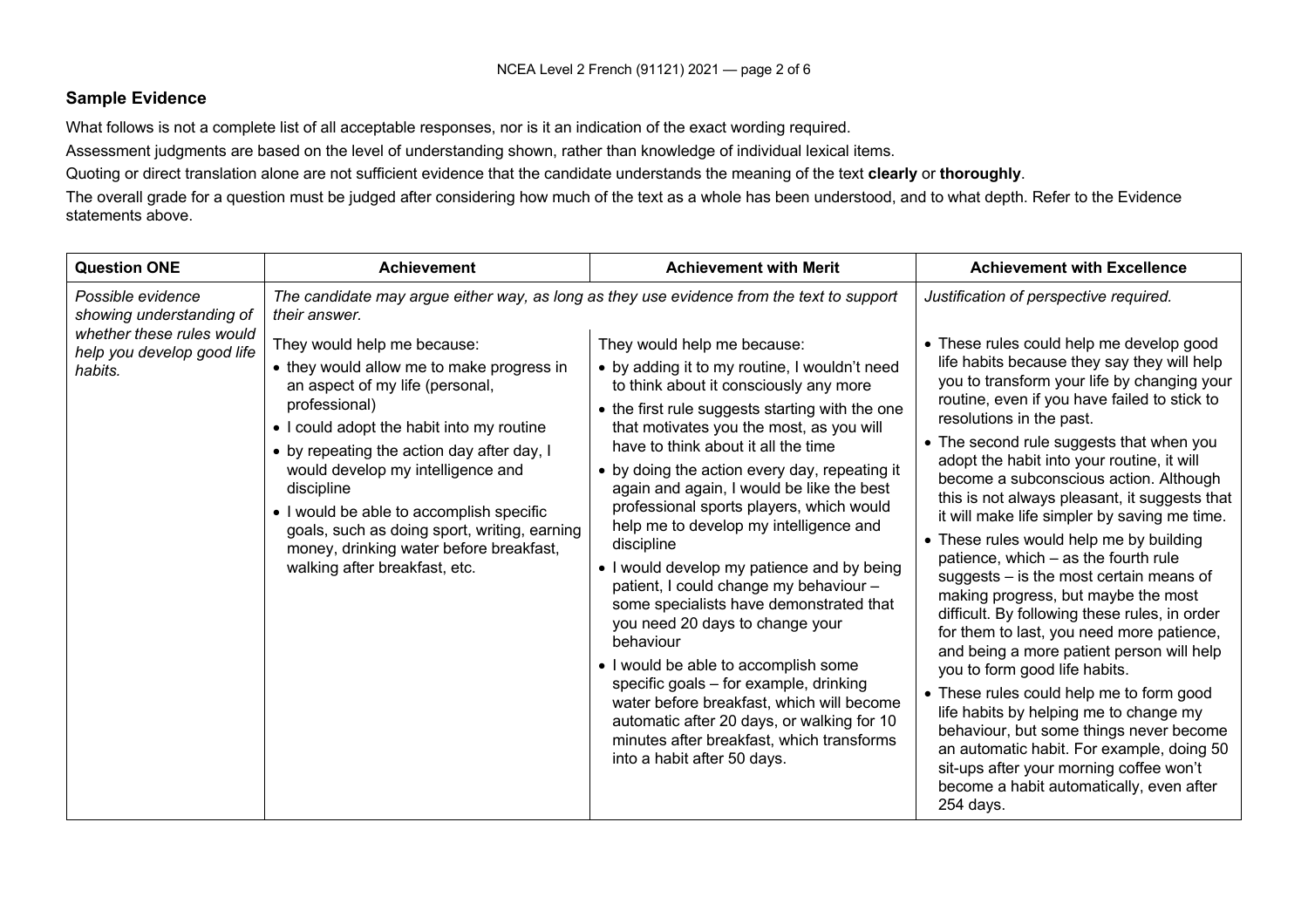### **Sample Evidence**

What follows is not a complete list of all acceptable responses, nor is it an indication of the exact wording required.

Assessment judgments are based on the level of understanding shown, rather than knowledge of individual lexical items.

Quoting or direct translation alone are not sufficient evidence that the candidate understands the meaning of the text **clearly** or **thoroughly**.

The overall grade for a question must be judged after considering how much of the text as a whole has been understood, and to what depth. Refer to the Evidence statements above.

| <b>Question ONE</b>                                                                                                 | <b>Achievement</b>                                                                                                                                                                                                                                                                                                                    | <b>Achievement with Merit</b>                                                                                                                                                                                                                                                                                                                                                                                                                                                                                                                                                                                                              | <b>Achievement with Excellence</b>                                                                                                                                                                                                                                                                                                                                                                                                                                                                                                                                                                                                                                                                                                                                           |
|---------------------------------------------------------------------------------------------------------------------|---------------------------------------------------------------------------------------------------------------------------------------------------------------------------------------------------------------------------------------------------------------------------------------------------------------------------------------|--------------------------------------------------------------------------------------------------------------------------------------------------------------------------------------------------------------------------------------------------------------------------------------------------------------------------------------------------------------------------------------------------------------------------------------------------------------------------------------------------------------------------------------------------------------------------------------------------------------------------------------------|------------------------------------------------------------------------------------------------------------------------------------------------------------------------------------------------------------------------------------------------------------------------------------------------------------------------------------------------------------------------------------------------------------------------------------------------------------------------------------------------------------------------------------------------------------------------------------------------------------------------------------------------------------------------------------------------------------------------------------------------------------------------------|
| Possible evidence<br>showing understanding of<br>whether these rules would<br>help you develop good life<br>habits. | The candidate may argue either way, as long as they use evidence from the text to support<br>their answer.<br>They would help me because:<br>• they would allow me to make progress in<br>an aspect of my life (personal,<br>professional)<br>• I could adopt the habit into my routine<br>• by repeating the action day after day, I | They would help me because:<br>• by adding it to my routine, I wouldn't need<br>to think about it consciously any more<br>• the first rule suggests starting with the one<br>that motivates you the most, as you will<br>have to think about it all the time                                                                                                                                                                                                                                                                                                                                                                               | Justification of perspective required.<br>• These rules could help me develop good<br>life habits because they say they will help<br>you to transform your life by changing your<br>routine, even if you have failed to stick to<br>resolutions in the past.<br>• The second rule suggests that when you<br>adopt the habit into your routine, it will                                                                                                                                                                                                                                                                                                                                                                                                                       |
|                                                                                                                     | would develop my intelligence and<br>discipline<br>• I would be able to accomplish specific<br>goals, such as doing sport, writing, earning<br>money, drinking water before breakfast,<br>walking after breakfast, etc.                                                                                                               | • by doing the action every day, repeating it<br>again and again, I would be like the best<br>professional sports players, which would<br>help me to develop my intelligence and<br>discipline<br>• I would develop my patience and by being<br>patient, I could change my behaviour -<br>some specialists have demonstrated that<br>you need 20 days to change your<br>behaviour<br>• I would be able to accomplish some<br>specific goals - for example, drinking<br>water before breakfast, which will become<br>automatic after 20 days, or walking for 10<br>minutes after breakfast, which transforms<br>into a habit after 50 days. | become a subconscious action. Although<br>this is not always pleasant, it suggests that<br>it will make life simpler by saving me time.<br>• These rules would help me by building<br>patience, which - as the fourth rule<br>suggests $-$ is the most certain means of<br>making progress, but maybe the most<br>difficult. By following these rules, in order<br>for them to last, you need more patience,<br>and being a more patient person will help<br>you to form good life habits.<br>• These rules could help me to form good<br>life habits by helping me to change my<br>behaviour, but some things never become<br>an automatic habit. For example, doing 50<br>sit-ups after your morning coffee won't<br>become a habit automatically, even after<br>254 days. |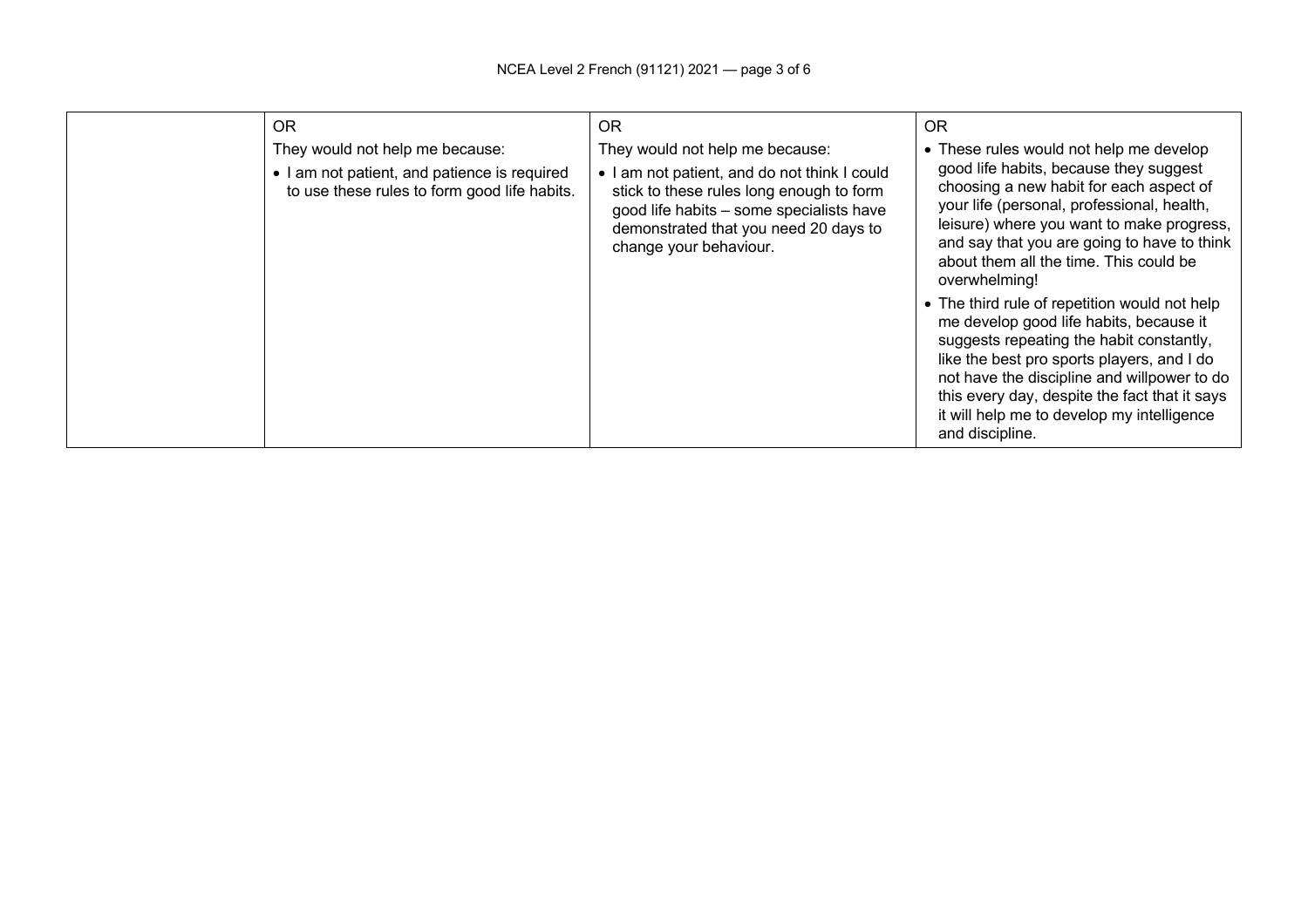| <b>OR</b>                                                                                                                       | OR                                                                                                                                                                                                                                         | OR.                                                                                                                                                                                                                                                                                                                                                 |
|---------------------------------------------------------------------------------------------------------------------------------|--------------------------------------------------------------------------------------------------------------------------------------------------------------------------------------------------------------------------------------------|-----------------------------------------------------------------------------------------------------------------------------------------------------------------------------------------------------------------------------------------------------------------------------------------------------------------------------------------------------|
| They would not help me because:<br>• I am not patient, and patience is required<br>to use these rules to form good life habits. | They would not help me because:<br>• I am not patient, and do not think I could<br>stick to these rules long enough to form<br>good life habits - some specialists have<br>demonstrated that you need 20 days to<br>change your behaviour. | • These rules would not help me develop<br>good life habits, because they suggest<br>choosing a new habit for each aspect of<br>your life (personal, professional, health,<br>leisure) where you want to make progress,<br>and say that you are going to have to think<br>about them all the time. This could be<br>overwhelming!                   |
|                                                                                                                                 |                                                                                                                                                                                                                                            | • The third rule of repetition would not help<br>me develop good life habits, because it<br>suggests repeating the habit constantly,<br>like the best pro sports players, and I do<br>not have the discipline and willpower to do<br>this every day, despite the fact that it says<br>it will help me to develop my intelligence<br>and discipline. |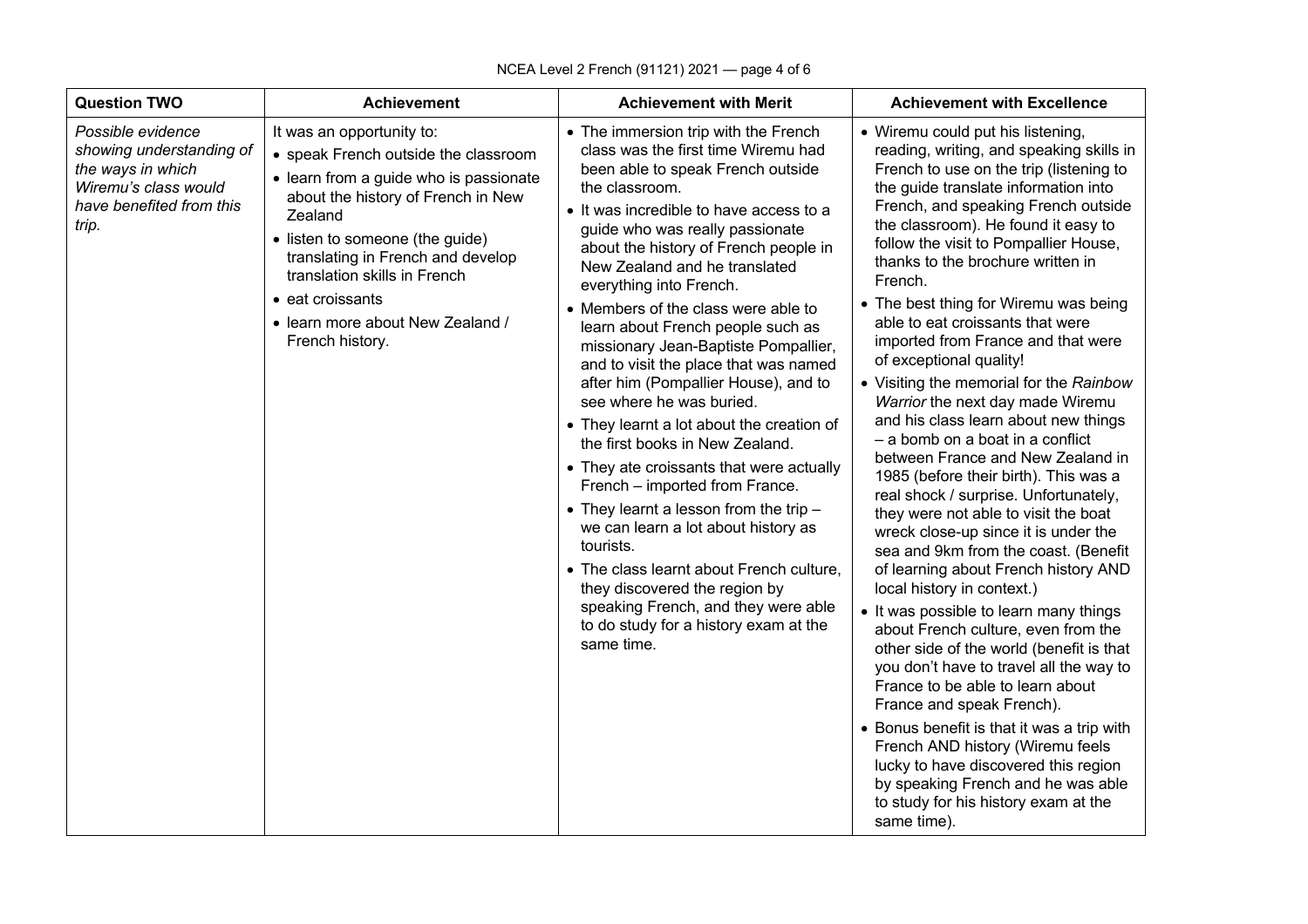| <b>Question TWO</b>                                                                                                             | <b>Achievement</b>                                                                                                                                                                                                                                                                                                                                      | <b>Achievement with Merit</b>                                                                                                                                                                                                                                                                                                                                                                                                                                                                                                                                                                                                                                                                                                                                                                                                                                                                                                                                                                           | <b>Achievement with Excellence</b>                                                                                                                                                                                                                                                                                                                                                                                                                                                                                                                                                                                                                                                                                                                                                                                                                                                                                                                                                                                                                                                                                                                                                                                                                                                                                                                                                                                                    |
|---------------------------------------------------------------------------------------------------------------------------------|---------------------------------------------------------------------------------------------------------------------------------------------------------------------------------------------------------------------------------------------------------------------------------------------------------------------------------------------------------|---------------------------------------------------------------------------------------------------------------------------------------------------------------------------------------------------------------------------------------------------------------------------------------------------------------------------------------------------------------------------------------------------------------------------------------------------------------------------------------------------------------------------------------------------------------------------------------------------------------------------------------------------------------------------------------------------------------------------------------------------------------------------------------------------------------------------------------------------------------------------------------------------------------------------------------------------------------------------------------------------------|---------------------------------------------------------------------------------------------------------------------------------------------------------------------------------------------------------------------------------------------------------------------------------------------------------------------------------------------------------------------------------------------------------------------------------------------------------------------------------------------------------------------------------------------------------------------------------------------------------------------------------------------------------------------------------------------------------------------------------------------------------------------------------------------------------------------------------------------------------------------------------------------------------------------------------------------------------------------------------------------------------------------------------------------------------------------------------------------------------------------------------------------------------------------------------------------------------------------------------------------------------------------------------------------------------------------------------------------------------------------------------------------------------------------------------------|
| Possible evidence<br>showing understanding of<br>the ways in which<br>Wiremu's class would<br>have benefited from this<br>trip. | It was an opportunity to:<br>• speak French outside the classroom<br>• learn from a guide who is passionate<br>about the history of French in New<br>Zealand<br>• listen to someone (the guide)<br>translating in French and develop<br>translation skills in French<br>$\bullet$ eat croissants<br>• learn more about New Zealand /<br>French history. | • The immersion trip with the French<br>class was the first time Wiremu had<br>been able to speak French outside<br>the classroom.<br>• It was incredible to have access to a<br>guide who was really passionate<br>about the history of French people in<br>New Zealand and he translated<br>everything into French.<br>• Members of the class were able to<br>learn about French people such as<br>missionary Jean-Baptiste Pompallier,<br>and to visit the place that was named<br>after him (Pompallier House), and to<br>see where he was buried.<br>• They learnt a lot about the creation of<br>the first books in New Zealand.<br>• They ate croissants that were actually<br>French - imported from France.<br>$\bullet$ They learnt a lesson from the trip $-$<br>we can learn a lot about history as<br>tourists.<br>• The class learnt about French culture,<br>they discovered the region by<br>speaking French, and they were able<br>to do study for a history exam at the<br>same time. | • Wiremu could put his listening,<br>reading, writing, and speaking skills in<br>French to use on the trip (listening to<br>the guide translate information into<br>French, and speaking French outside<br>the classroom). He found it easy to<br>follow the visit to Pompallier House,<br>thanks to the brochure written in<br>French.<br>• The best thing for Wiremu was being<br>able to eat croissants that were<br>imported from France and that were<br>of exceptional quality!<br>• Visiting the memorial for the Rainbow<br>Warrior the next day made Wiremu<br>and his class learn about new things<br>- a bomb on a boat in a conflict<br>between France and New Zealand in<br>1985 (before their birth). This was a<br>real shock / surprise. Unfortunately,<br>they were not able to visit the boat<br>wreck close-up since it is under the<br>sea and 9km from the coast. (Benefit<br>of learning about French history AND<br>local history in context.)<br>• It was possible to learn many things<br>about French culture, even from the<br>other side of the world (benefit is that<br>you don't have to travel all the way to<br>France to be able to learn about<br>France and speak French).<br>• Bonus benefit is that it was a trip with<br>French AND history (Wiremu feels<br>lucky to have discovered this region<br>by speaking French and he was able<br>to study for his history exam at the<br>same time). |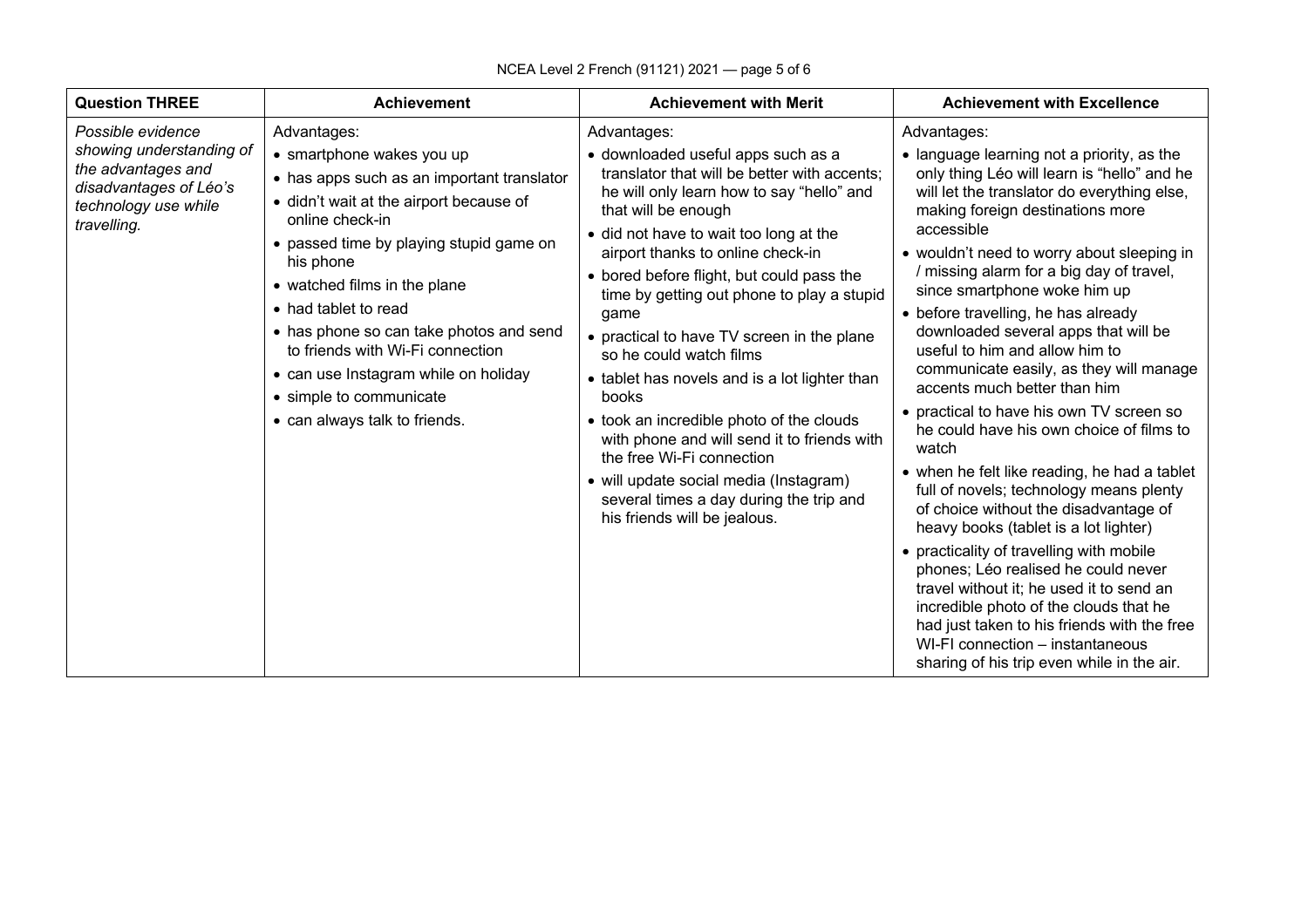| <b>Question THREE</b>                                                                                                                                                                                                                                                                                                                                                                                                                                                                                                                                                                                                                                  | <b>Achievement with Merit</b>                                                                                                                                                                                                                                                                                                                                                                                                                                                                                                                                                                                                                                                                                                                                                                                                                                                                                                                                                                                                                                                                                                                                                                                                                                                                                                                                                                                                                                                                                                                                                                                                                                                                                                                                 |
|--------------------------------------------------------------------------------------------------------------------------------------------------------------------------------------------------------------------------------------------------------------------------------------------------------------------------------------------------------------------------------------------------------------------------------------------------------------------------------------------------------------------------------------------------------------------------------------------------------------------------------------------------------|---------------------------------------------------------------------------------------------------------------------------------------------------------------------------------------------------------------------------------------------------------------------------------------------------------------------------------------------------------------------------------------------------------------------------------------------------------------------------------------------------------------------------------------------------------------------------------------------------------------------------------------------------------------------------------------------------------------------------------------------------------------------------------------------------------------------------------------------------------------------------------------------------------------------------------------------------------------------------------------------------------------------------------------------------------------------------------------------------------------------------------------------------------------------------------------------------------------------------------------------------------------------------------------------------------------------------------------------------------------------------------------------------------------------------------------------------------------------------------------------------------------------------------------------------------------------------------------------------------------------------------------------------------------------------------------------------------------------------------------------------------------|
| <b>Achievement</b>                                                                                                                                                                                                                                                                                                                                                                                                                                                                                                                                                                                                                                     | <b>Achievement with Excellence</b>                                                                                                                                                                                                                                                                                                                                                                                                                                                                                                                                                                                                                                                                                                                                                                                                                                                                                                                                                                                                                                                                                                                                                                                                                                                                                                                                                                                                                                                                                                                                                                                                                                                                                                                            |
| Possible evidence<br>Advantages:<br>Advantages:<br>showing understanding of<br>• smartphone wakes you up<br>the advantages and<br>• has apps such as an important translator<br>disadvantages of Léo's<br>· didn't wait at the airport because of<br>technology use while<br>that will be enough<br>online check-in<br>travelling.<br>• passed time by playing stupid game on<br>his phone<br>• watched films in the plane<br>• had tablet to read<br>game<br>• has phone so can take photos and send<br>to friends with Wi-Fi connection<br>• can use Instagram while on holiday<br>• simple to communicate<br>books<br>• can always talk to friends. | Advantages:<br>• downloaded useful apps such as a<br>• language learning not a priority, as the<br>translator that will be better with accents;<br>only thing Léo will learn is "hello" and he<br>will let the translator do everything else,<br>he will only learn how to say "hello" and<br>making foreign destinations more<br>accessible<br>• did not have to wait too long at the<br>airport thanks to online check-in<br>• wouldn't need to worry about sleeping in<br>/ missing alarm for a big day of travel,<br>• bored before flight, but could pass the<br>since smartphone woke him up<br>time by getting out phone to play a stupid<br>• before travelling, he has already<br>downloaded several apps that will be<br>• practical to have TV screen in the plane<br>useful to him and allow him to<br>so he could watch films<br>communicate easily, as they will manage<br>• tablet has novels and is a lot lighter than<br>accents much better than him<br>• practical to have his own TV screen so<br>• took an incredible photo of the clouds<br>he could have his own choice of films to<br>with phone and will send it to friends with<br>watch<br>the free Wi-Fi connection<br>• when he felt like reading, he had a tablet<br>• will update social media (Instagram)<br>full of novels; technology means plenty<br>several times a day during the trip and<br>of choice without the disadvantage of<br>his friends will be jealous.<br>heavy books (tablet is a lot lighter)<br>• practicality of travelling with mobile<br>phones; Léo realised he could never<br>travel without it; he used it to send an<br>incredible photo of the clouds that he<br>had just taken to his friends with the free<br>WI-FI connection - instantaneous |

## NCEA Level 2 French (91121) 2021 — page 5 of 6